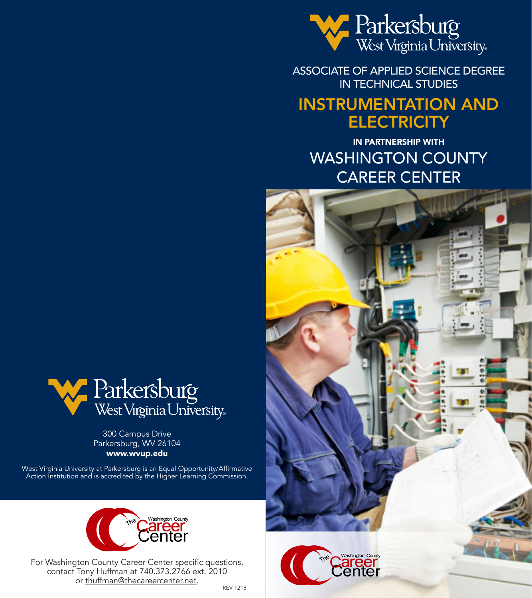

ASSOCIATE OF APPLIED SCIENCE DEGREE IN TECHNICAL STUDIES

# INSTRUMENTATION AND **ELECTRICITY**

IN PARTNERSHIP WITH WASHINGTON COUNTY CAREER CENTER





300 Campus Drive Parkersburg, WV 26104 www.wvup.edu

West Virginia University at Parkersburg is an Equal Opportunity/Affirmative Action Institution and is accredited by the Higher Learning Commission.



For Washington County Career Center specific questions, contact Tony Huffman at 740.373.2766 ext. 2010 or thuffman@thecareercenter.net.<br>REV 1218